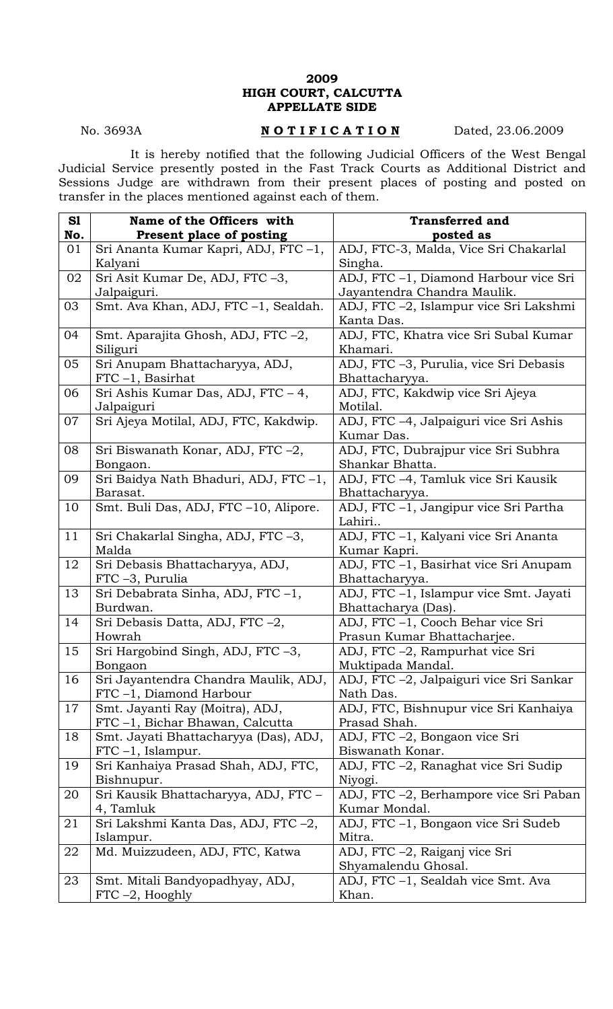## **2009 HIGH COURT, CALCUTTA APPELLATE SIDE**

## No. 3693A **NOTIFICATION** Dated, 23.06.2009

 It is hereby notified that the following Judicial Officers of the West Bengal Judicial Service presently posted in the Fast Track Courts as Additional District and Sessions Judge are withdrawn from their present places of posting and posted on transfer in the places mentioned against each of them.

| S1  | Name of the Officers with             | <b>Transferred and</b>                  |
|-----|---------------------------------------|-----------------------------------------|
| No. | Present place of posting              | posted as                               |
| 01  | Sri Ananta Kumar Kapri, ADJ, FTC -1,  | ADJ, FTC-3, Malda, Vice Sri Chakarlal   |
|     | Kalyani                               | Singha.                                 |
| 02  | Sri Asit Kumar De, ADJ, FTC -3,       | ADJ, FTC -1, Diamond Harbour vice Sri   |
|     | Jalpaiguri.                           | Jayantendra Chandra Maulik.             |
| 03  | Smt. Ava Khan, ADJ, FTC -1, Sealdah.  | ADJ, FTC -2, Islampur vice Sri Lakshmi  |
|     |                                       | Kanta Das.                              |
| 04  | Smt. Aparajita Ghosh, ADJ, FTC-2,     | ADJ, FTC, Khatra vice Sri Subal Kumar   |
|     | Siliguri                              | Khamari.                                |
| 05  | Sri Anupam Bhattacharyya, ADJ,        | ADJ, FTC -3, Purulia, vice Sri Debasis  |
|     | $FTC -1$ , Basirhat                   | Bhattacharyya.                          |
| 06  | Sri Ashis Kumar Das, ADJ, FTC - 4,    | ADJ, FTC, Kakdwip vice Sri Ajeya        |
|     | Jalpaiguri                            | Motilal.                                |
| 07  | Sri Ajeya Motilal, ADJ, FTC, Kakdwip. | ADJ, FTC -4, Jalpaiguri vice Sri Ashis  |
|     |                                       | Kumar Das.                              |
| 08  | Sri Biswanath Konar, ADJ, FTC -2,     | ADJ, FTC, Dubrajpur vice Sri Subhra     |
|     | Bongaon.                              | Shankar Bhatta.                         |
| 09  | Sri Baidya Nath Bhaduri, ADJ, FTC -1, | ADJ, FTC -4, Tamluk vice Sri Kausik     |
|     | Barasat.                              | Bhattacharyya.                          |
| 10  | Smt. Buli Das, ADJ, FTC -10, Alipore. | ADJ, FTC -1, Jangipur vice Sri Partha   |
|     |                                       | Lahiri                                  |
| 11  | Sri Chakarlal Singha, ADJ, FTC -3,    | ADJ, FTC -1, Kalyani vice Sri Ananta    |
|     | Malda                                 | Kumar Kapri.                            |
| 12  | Sri Debasis Bhattacharyya, ADJ,       | ADJ, FTC -1, Basirhat vice Sri Anupam   |
|     | FTC -3, Purulia                       | Bhattacharyya.                          |
| 13  | Sri Debabrata Sinha, ADJ, FTC-1,      | ADJ, FTC -1, Islampur vice Smt. Jayati  |
|     | Burdwan.                              | Bhattacharya (Das).                     |
| 14  | Sri Debasis Datta, ADJ, FTC -2,       | ADJ, FTC -1, Cooch Behar vice Sri       |
|     | Howrah                                | Prasun Kumar Bhattacharjee.             |
| 15  | Sri Hargobind Singh, ADJ, FTC -3,     | ADJ, FTC -2, Rampurhat vice Sri         |
|     | Bongaon                               | Muktipada Mandal.                       |
| 16  | Sri Jayantendra Chandra Maulik, ADJ,  | ADJ, FTC -2, Jalpaiguri vice Sri Sankar |
|     | FTC-1, Diamond Harbour                | Nath Das.                               |
| 17  | Smt. Jayanti Ray (Moitra), ADJ,       | ADJ, FTC, Bishnupur vice Sri Kanhaiya   |
|     | FTC -1, Bichar Bhawan, Calcutta       | Prasad Shah.                            |
| 18  | Smt. Jayati Bhattacharyya (Das), ADJ, | ADJ, FTC -2, Bongaon vice Sri           |
|     | $FTC-1$ , Islampur.                   | Biswanath Konar.                        |
| 19  | Sri Kanhaiya Prasad Shah, ADJ, FTC,   | ADJ, FTC -2, Ranaghat vice Sri Sudip    |
|     | Bishnupur.                            | Niyogi.                                 |
| 20  | Sri Kausik Bhattacharyya, ADJ, FTC -  | ADJ, FTC -2, Berhampore vice Sri Paban  |
|     | 4, Tamluk                             | Kumar Mondal.                           |
| 21  | Sri Lakshmi Kanta Das, ADJ, FTC -2,   | ADJ, FTC -1, Bongaon vice Sri Sudeb     |
|     | Islampur.                             | Mitra.                                  |
| 22  | Md. Muizzudeen, ADJ, FTC, Katwa       | ADJ, FTC -2, Raiganj vice Sri           |
|     |                                       | Shyamalendu Ghosal.                     |
| 23  | Smt. Mitali Bandyopadhyay, ADJ,       | ADJ, FTC -1, Sealdah vice Smt. Ava      |
|     | $FTC -2$ , Hooghly                    | Khan.                                   |